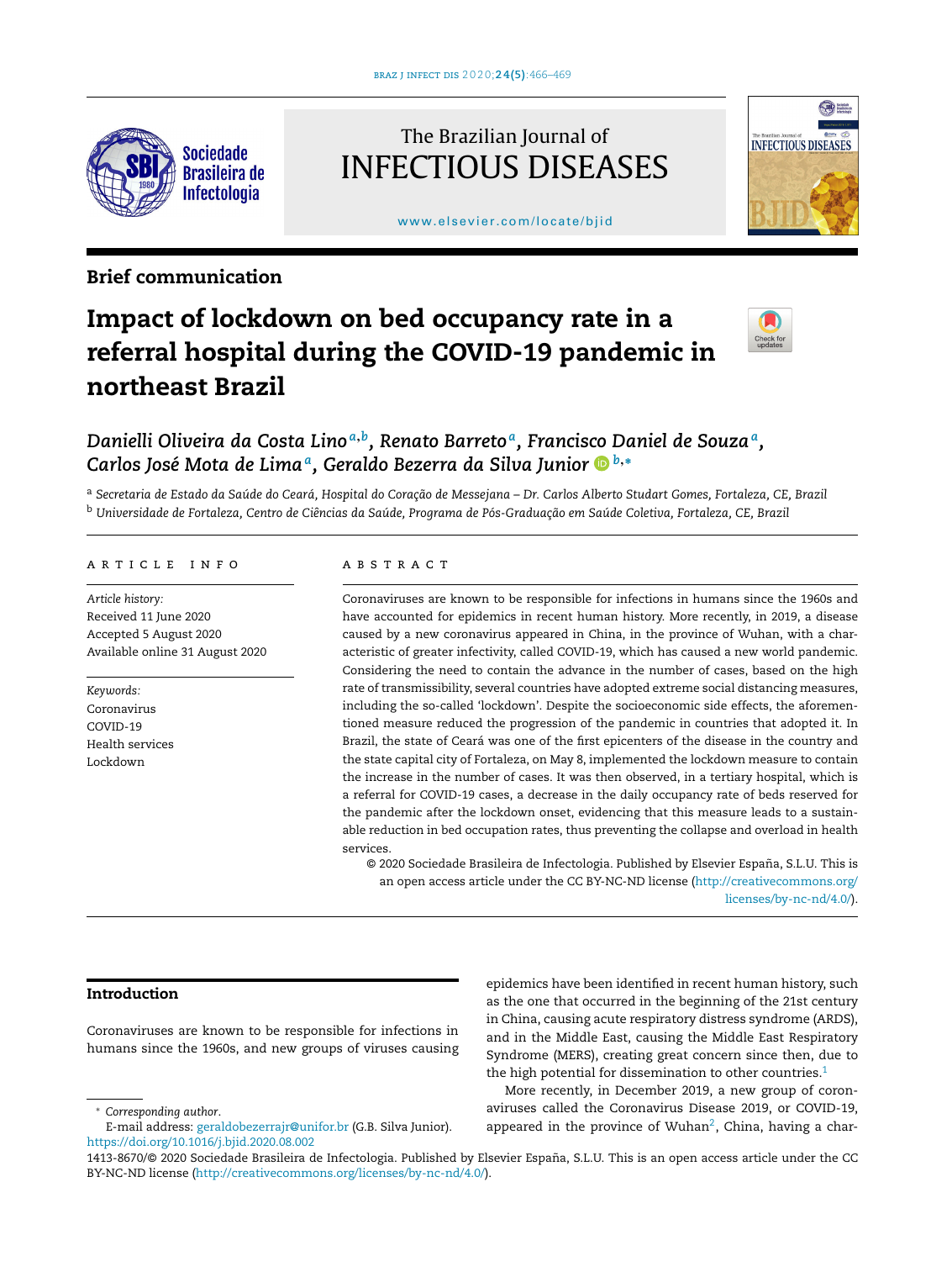

# The Brazilian Journal of INFECTIOUS DISEASES

#### [www.elsevier.com/locate/bjid](http://www.elsevier.com/locate/bjid)



# Brief communication

# Impact of lockdown on bed occupancy rate in a referral hospital during the COVID-19 pandemic in northeast Brazil



# *Danielli Oliveira da Costa Lino <sup>a</sup>*,*<sup>b</sup> , Renato Barreto <sup>a</sup> , Francisco Daniel de Souza<sup>a</sup> , Carlos José Mota de Lima<sup>a</sup> , Geraldo Bezerra da Silva Junior <sup>b</sup>*,<sup>∗</sup>

a Secretaria de Estado da Saúde do Ceará, Hospital do Coração de Messejana - Dr. Carlos Alberto Studart Gomes, Fortaleza, CE, Brazil <sup>b</sup> Universidade de Fortaleza, Centro de Ciências da Saúde, Programa de Pós-Graduação em Saúde Coletiva, Fortaleza, CE, Brazil

## a r t i c l e i n f o

*Article history:* Received 11 June 2020 Accepted 5 August 2020 Available online 31 August 2020

*Keywords:* Coronavirus COVID-19 Health services Lockdown

#### a b s t r a c t

Coronaviruses are known to be responsible for infections in humans since the 1960s and have accounted for epidemics in recent human history. More recently, in 2019, a disease caused by a new coronavirus appeared in China, in the province of Wuhan, with a characteristic of greater infectivity, called COVID-19, which has caused a new world pandemic. Considering the need to contain the advance in the number of cases, based on the high rate of transmissibility, several countries have adopted extreme social distancing measures, including the so-called 'lockdown'. Despite the socioeconomic side effects, the aforementioned measure reduced the progression of the pandemic in countries that adopted it. In Brazil, the state of Ceará was one of the first epicenters of the disease in the country and the state capital city of Fortaleza, on May 8, implemented the lockdown measure to contain the increase in the number of cases. It was then observed, in a tertiary hospital, which is a referral for COVID-19 cases, a decrease in the daily occupancy rate of beds reserved for the pandemic after the lockdown onset, evidencing that this measure leads to a sustainable reduction in bed occupation rates, thus preventing the collapse and overload in health services.

© 2020 Sociedade Brasileira de Infectologia. Published by Elsevier España, S.L.U. This is an open access article under the CC BY-NC-ND license ([http://creativecommons.org/](http://creativecommons.org/licenses/by-nc-nd/4.0/) [licenses/by-nc-nd/4.0/](http://creativecommons.org/licenses/by-nc-nd/4.0/)).

## Introduction

Coronaviruses are known to be responsible for infections in humans since the 1960s, and new groups of viruses causing

<sup>∗</sup> *Corresponding author*.

epidemics have been identified in recent human history, such as the one that occurred in the beginning of the 21st century in China, causing acute respiratory distress syndrome (ARDS), and in the Middle East, causing the Middle East Respiratory Syndrome (MERS), creating great concern since then, due to the high potential for dissemination to other countries. $1$ 

More recently, in December 2019, a new group of coronaviruses called the Coronavirus Disease 2019, or COVID-19, appeared in the province of Wuhan<sup>[2](#page-3-0)</sup>, China, having a char-

E-mail address: [geraldobezerrajr@unifor.br](mailto:geraldobezerrajr@unifor.br) (G.B. Silva Junior). <https://doi.org/10.1016/j.bjid.2020.08.002>

<sup>1413-8670/© 2020</sup> Sociedade Brasileira de Infectologia. Published by Elsevier España, S.L.U. This is an open access article under the CC BY-NC-ND license [\(http://creativecommons.org/licenses/by-nc-nd/4.0/](http://creativecommons.org/licenses/by-nc-nd/4.0/)).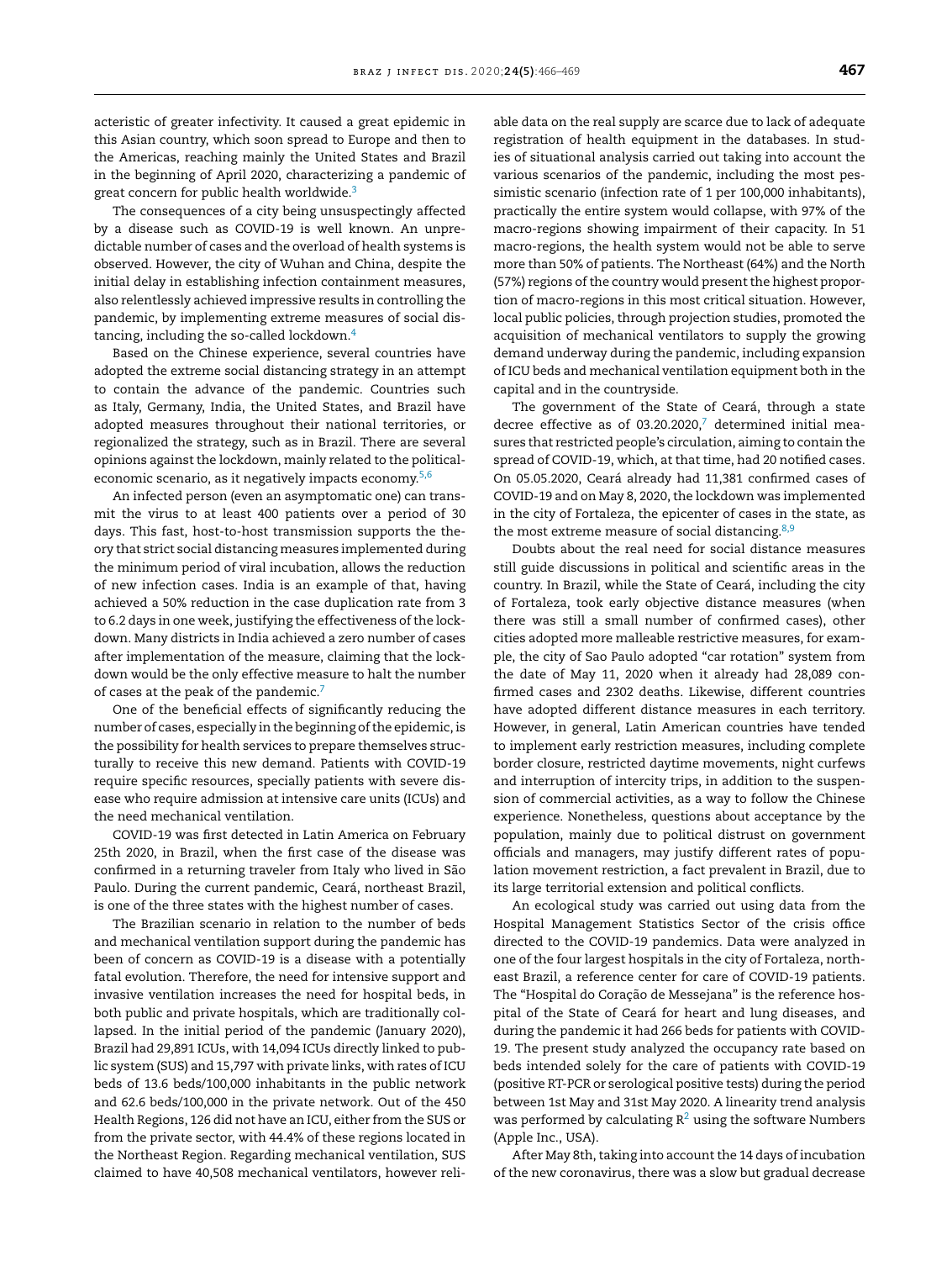acteristic of greater infectivity. It caused a great epidemic in this Asian country, which soon spread to Europe and then to the Americas, reaching mainly the United States and Brazil in the beginning of April 2020, characterizing a pandemic of great concern for public health worldwide.<sup>[3](#page-3-0)</sup>

The consequences of a city being unsuspectingly affected by a disease such as COVID-19 is well known. An unpredictable number of cases and the overload of health systems is observed. However, the city of Wuhan and China, despite the initial delay in establishing infection containment measures, also relentlessly achieved impressive results in controlling the pandemic, by implementing extreme measures of social dis-tancing, including the so-called lockdown.<sup>[4](#page-3-0)</sup>

Based on the Chinese experience, several countries have adopted the extreme social distancing strategy in an attempt to contain the advance of the pandemic. Countries such as Italy, Germany, India, the United States, and Brazil have adopted measures throughout their national territories, or regionalized the strategy, such as in Brazil. There are several opinions against the lockdown, mainly related to the political-economic scenario, as it negatively impacts economy.<sup>[5,6](#page-3-0)</sup>

An infected person (even an asymptomatic one) can transmit the virus to at least 400 patients over a period of 30 days. This fast, host-to-host transmission supports the theory that strict social distancing measures implemented during the minimum period of viral incubation, allows the reduction of new infection cases. India is an example of that, having achieved a 50% reduction in the case duplication rate from 3 to 6.2 days in one week, justifying the effectiveness ofthe lockdown. Many districts in India achieved a zero number of cases after implementation of the measure, claiming that the lockdown would be the only effective measure to halt the number of cases at the peak of the pandemic.<sup>[7](#page-3-0)</sup>

One of the beneficial effects of significantly reducing the number of cases, especially in the beginning of the epidemic, is the possibility for health services to prepare themselves structurally to receive this new demand. Patients with COVID-19 require specific resources, specially patients with severe disease who require admission at intensive care units (ICUs) and the need mechanical ventilation.

COVID-19 was first detected in Latin America on February 25th 2020, in Brazil, when the first case of the disease was confirmed in a returning traveler from Italy who lived in São Paulo. During the current pandemic, Ceará, northeast Brazil, is one of the three states with the highest number of cases.

The Brazilian scenario in relation to the number of beds and mechanical ventilation support during the pandemic has been of concern as COVID-19 is a disease with a potentially fatal evolution. Therefore, the need for intensive support and invasive ventilation increases the need for hospital beds, in both public and private hospitals, which are traditionally collapsed. In the initial period of the pandemic (January 2020), Brazil had 29,891 ICUs, with 14,094 ICUs directly linked to public system (SUS) and 15,797 with private links, with rates of ICU beds of 13.6 beds/100,000 inhabitants in the public network and 62.6 beds/100,000 in the private network. Out of the 450 Health Regions, 126 did not have an ICU, either from the SUS or from the private sector, with 44.4% of these regions located in the Northeast Region. Regarding mechanical ventilation, SUS claimed to have 40,508 mechanical ventilators, however reliable data on the real supply are scarce due to lack of adequate registration of health equipment in the databases. In studies of situational analysis carried out taking into account the various scenarios of the pandemic, including the most pessimistic scenario (infection rate of 1 per 100,000 inhabitants), practically the entire system would collapse, with 97% of the macro-regions showing impairment of their capacity. In 51 macro-regions, the health system would not be able to serve more than 50% of patients. The Northeast (64%) and the North (57%) regions of the country would present the highest proportion of macro-regions in this most critical situation. However, local public policies, through projection studies, promoted the acquisition of mechanical ventilators to supply the growing demand underway during the pandemic, including expansion of ICU beds and mechanical ventilation equipment both in the capital and in the countryside.

The government of the State of Ceará, through a state decree effective as of 03.20.2020, $7$  determined initial measures that restricted people's circulation, aiming to contain the spread of COVID-19, which, at that time, had 20 notified cases. On 05.05.2020, Ceará already had 11,381 confirmed cases of COVID-19 and on May 8, 2020, the lockdown was implemented in the city of Fortaleza, the epicenter of cases in the state, as the most extreme measure of social distancing. $8,9$ 

Doubts about the real need for social distance measures still guide discussions in political and scientific areas in the country. In Brazil, while the State of Ceará, including the city of Fortaleza, took early objective distance measures (when there was still a small number of confirmed cases), other cities adopted more malleable restrictive measures, for example, the city of Sao Paulo adopted "car rotation" system from the date of May 11, 2020 when it already had 28,089 confirmed cases and 2302 deaths. Likewise, different countries have adopted different distance measures in each territory. However, in general, Latin American countries have tended to implement early restriction measures, including complete border closure, restricted daytime movements, night curfews and interruption of intercity trips, in addition to the suspension of commercial activities, as a way to follow the Chinese experience. Nonetheless, questions about acceptance by the population, mainly due to political distrust on government officials and managers, may justify different rates of population movement restriction, a fact prevalent in Brazil, due to its large territorial extension and political conflicts.

An ecological study was carried out using data from the Hospital Management Statistics Sector of the crisis office directed to the COVID-19 pandemics. Data were analyzed in one of the four largest hospitals in the city of Fortaleza, northeast Brazil, a reference center for care of COVID-19 patients. The "Hospital do Coração de Messejana" is the reference hospital of the State of Ceará for heart and lung diseases, and during the pandemic it had 266 beds for patients with COVID-19. The present study analyzed the occupancy rate based on beds intended solely for the care of patients with COVID-19 (positive RT-PCR or serological positive tests) during the period between 1st May and 31st May 2020. A linearity trend analysis was performed by calculating  $R^2$  $R^2$  using the software Numbers (Apple Inc., USA).

After May 8th, taking into account the 14 days of incubation of the new coronavirus, there was a slow but gradual decrease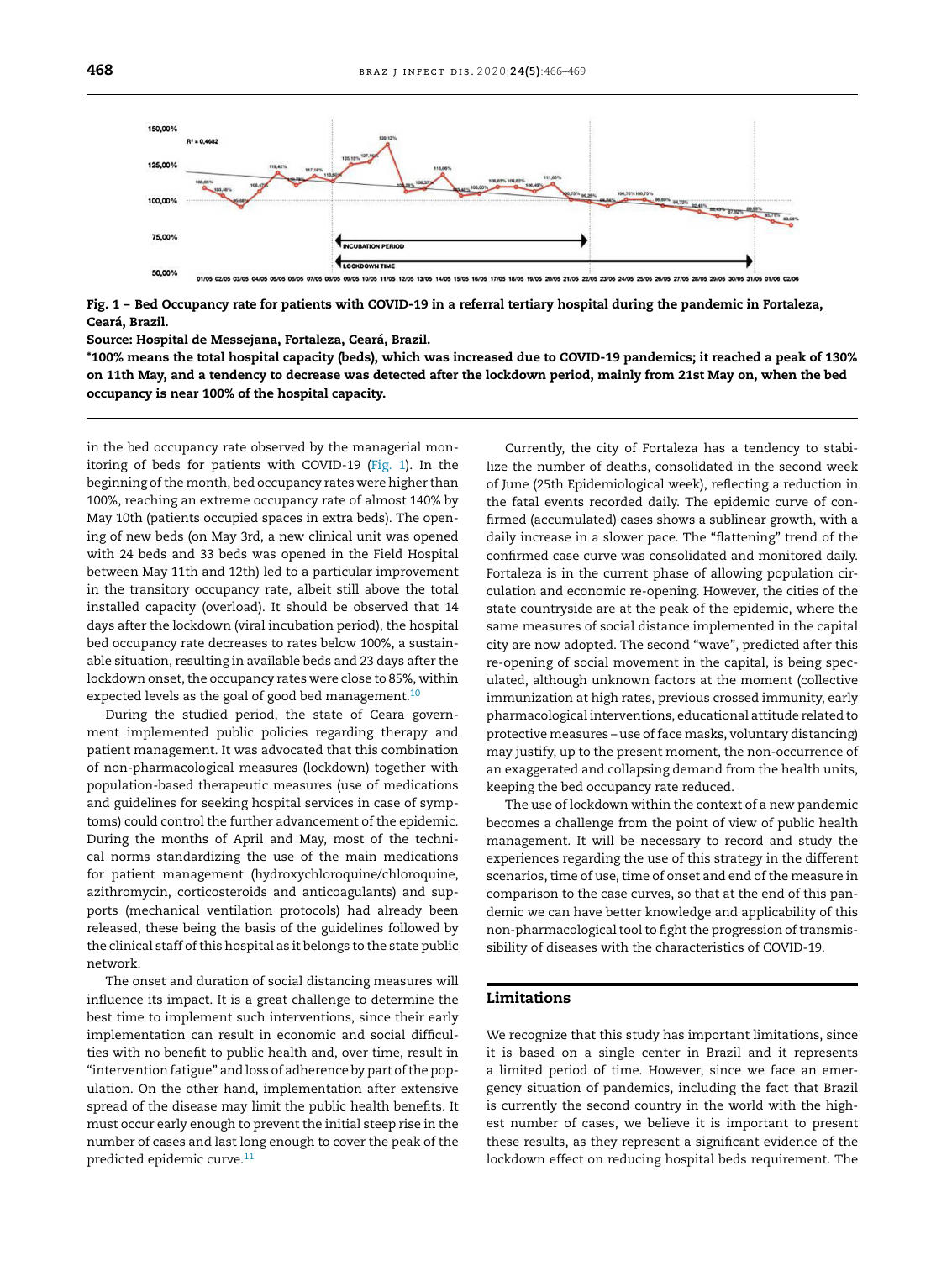

Fig. 1 – Bed Occupancy rate for patients with COVID-19 in a referral tertiary hospital during the pandemic in Fortaleza, Ceará, Brazil.

Source: Hospital de Messejana, Fortaleza, Ceará, Brazil.

\*100% means the total hospital capacity (beds), which was increased due to COVID-19 pandemics; it reached a peak of 130% on 11th May, and a tendency to decrease was detected after the lockdown period, mainly from 21st May on, when the bed occupancy is near 100% of the hospital capacity.

in the bed occupancy rate observed by the managerial monitoring of beds for patients with COVID-19 (Fig. 1). In the beginning of the month, bed occupancy rates were higher than 100%, reaching an extreme occupancy rate of almost 140% by May 10th (patients occupied spaces in extra beds). The opening of new beds (on May 3rd, a new clinical unit was opened with 24 beds and 33 beds was opened in the Field Hospital between May 11th and 12th) led to a particular improvement in the transitory occupancy rate, albeit still above the total installed capacity (overload). It should be observed that 14 days after the lockdown (viral incubation period), the hospital bed occupancy rate decreases to rates below 100%, a sustainable situation, resulting in available beds and 23 days after the lockdown onset, the occupancy rates were close to 85%, within expected levels as the goal of good bed management.<sup>[10](#page-3-0)</sup>

During the studied period, the state of Ceara government implemented public policies regarding therapy and patient management. It was advocated that this combination of non-pharmacological measures (lockdown) together with population-based therapeutic measures (use of medications and guidelines for seeking hospital services in case of symptoms) could control the further advancement of the epidemic. During the months of April and May, most of the technical norms standardizing the use of the main medications for patient management (hydroxychloroquine/chloroquine, azithromycin, corticosteroids and anticoagulants) and supports (mechanical ventilation protocols) had already been released, these being the basis of the guidelines followed by the clinical staff of this hospital as it belongs to the state public network.

The onset and duration of social distancing measures will influence its impact. It is a great challenge to determine the best time to implement such interventions, since their early implementation can result in economic and social difficulties with no benefit to public health and, over time, result in "intervention fatigue" and loss of adherence by part of the population. On the other hand, implementation after extensive spread of the disease may limit the public health benefits. It must occur early enough to prevent the initial steep rise in the number of cases and last long enough to cover the peak of the predicted epidemic curve.<sup>[11](#page-3-0)</sup>

Currently, the city of Fortaleza has a tendency to stabilize the number of deaths, consolidated in the second week of June (25th Epidemiological week), reflecting a reduction in the fatal events recorded daily. The epidemic curve of confirmed (accumulated) cases shows a sublinear growth, with a daily increase in a slower pace. The "flattening" trend of the confirmed case curve was consolidated and monitored daily. Fortaleza is in the current phase of allowing population circulation and economic re-opening. However, the cities of the state countryside are at the peak of the epidemic, where the same measures of social distance implemented in the capital city are now adopted. The second "wave", predicted after this re-opening of social movement in the capital, is being speculated, although unknown factors at the moment (collective immunization at high rates, previous crossed immunity, early pharmacological interventions, educational attitude related to protective measures – use of face masks, voluntary distancing) may justify, up to the present moment, the non-occurrence of an exaggerated and collapsing demand from the health units, keeping the bed occupancy rate reduced.

The use of lockdown within the context of a new pandemic becomes a challenge from the point of view of public health management. It will be necessary to record and study the experiences regarding the use of this strategy in the different scenarios, time of use, time of onset and end of the measure in comparison to the case curves, so that at the end of this pandemic we can have better knowledge and applicability of this non-pharmacological tool to fight the progression of transmissibility of diseases with the characteristics of COVID-19.

### Limitations

We recognize that this study has important limitations, since it is based on a single center in Brazil and it represents a limited period of time. However, since we face an emergency situation of pandemics, including the fact that Brazil is currently the second country in the world with the highest number of cases, we believe it is important to present these results, as they represent a significant evidence of the lockdown effect on reducing hospital beds requirement. The